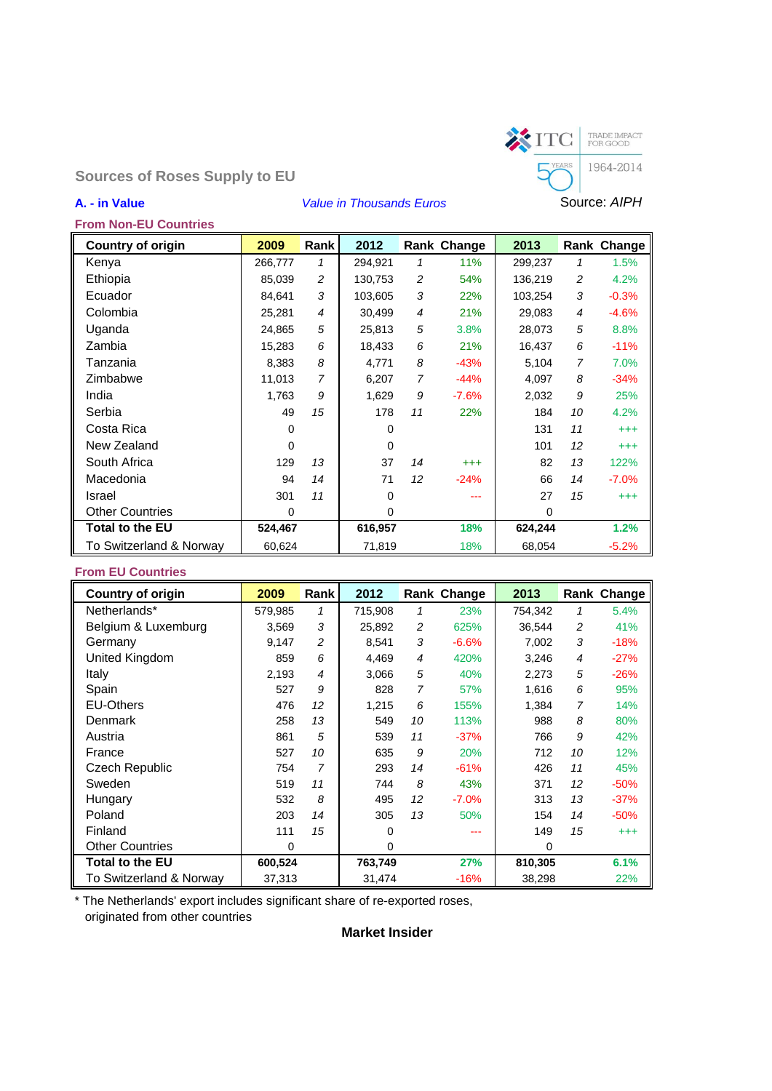

**Sources of Roses Supply to EU**

**From Non-EU Countries**

# **A. - in Value** *Value in Thousands Euros* Source: *AIPH*

| <b>Country of origin</b> | 2009    | Rank           | 2012     |                | Rank Change | 2013     |                | Rank Change |
|--------------------------|---------|----------------|----------|----------------|-------------|----------|----------------|-------------|
| Kenya                    | 266,777 | 1              | 294,921  | 1              | 11%         | 299,237  | 1              | 1.5%        |
| Ethiopia                 | 85,039  | 2              | 130,753  | 2              | 54%         | 136,219  | 2              | 4.2%        |
| Ecuador                  | 84,641  | 3              | 103,605  | 3              | 22%         | 103,254  | 3              | $-0.3%$     |
| Colombia                 | 25,281  | $\overline{4}$ | 30,499   | 4              | 21%         | 29,083   | 4              | $-4.6%$     |
| Uganda                   | 24,865  | 5              | 25,813   | 5              | 3.8%        | 28,073   | 5              | 8.8%        |
| Zambia                   | 15,283  | 6              | 18,433   | 6              | 21%         | 16,437   | 6              | $-11%$      |
| Tanzania                 | 8,383   | 8              | 4,771    | 8              | $-43%$      | 5,104    | $\overline{7}$ | 7.0%        |
| Zimbabwe                 | 11,013  | 7              | 6,207    | $\overline{7}$ | $-44%$      | 4,097    | 8              | $-34%$      |
| India                    | 1,763   | 9              | 1,629    | 9              | $-7.6%$     | 2,032    | 9              | 25%         |
| Serbia                   | 49      | 15             | 178      | 11             | 22%         | 184      | 10             | 4.2%        |
| Costa Rica               | 0       |                | 0        |                |             | 131      | 11             | $^{+++}$    |
| New Zealand              | 0       |                | $\Omega$ |                |             | 101      | 12             | $^{+++}$    |
| South Africa             | 129     | 13             | 37       | 14             | $^{+++}$    | 82       | 13             | 122%        |
| Macedonia                | 94      | 14             | 71       | 12             | $-24%$      | 66       | 14             | $-7.0%$     |
| Israel                   | 301     | 11             | $\Omega$ |                |             | 27       | 15             | $^{+++}$    |
| <b>Other Countries</b>   | 0       |                | 0        |                |             | $\Omega$ |                |             |
| <b>Total to the EU</b>   | 524,467 |                | 616,957  |                | 18%         | 624,244  |                | 1.2%        |
| To Switzerland & Norway  | 60,624  |                | 71,819   |                | 18%         | 68,054   |                | $-5.2%$     |

## **From EU Countries**

| <b>Country of origin</b> | 2009    | Rank | 2012    |    | Rank Change | 2013     |                | Rank Change |
|--------------------------|---------|------|---------|----|-------------|----------|----------------|-------------|
| Netherlands*             | 579.985 | 1    | 715,908 | 1  | 23%         | 754.342  | 1              | 5.4%        |
| Belgium & Luxemburg      | 3,569   | 3    | 25,892  | 2  | 625%        | 36.544   | 2              | 41%         |
| Germany                  | 9,147   | 2    | 8,541   | 3  | $-6.6%$     | 7,002    | 3              | $-18%$      |
| United Kingdom           | 859     | 6    | 4,469   | 4  | 420%        | 3,246    | $\overline{4}$ | $-27%$      |
| Italy                    | 2,193   | 4    | 3,066   | 5  | 40%         | 2,273    | 5              | $-26%$      |
| Spain                    | 527     | 9    | 828     | 7  | 57%         | 1,616    | 6              | 95%         |
| <b>EU-Others</b>         | 476     | 12   | 1.215   | 6  | 155%        | 1,384    | 7              | 14%         |
| Denmark                  | 258     | 13   | 549     | 10 | 113%        | 988      | 8              | 80%         |
| Austria                  | 861     | 5    | 539     | 11 | $-37%$      | 766      | 9              | 42%         |
| France                   | 527     | 10   | 635     | 9  | 20%         | 712      | 10             | 12%         |
| Czech Republic           | 754     | 7    | 293     | 14 | $-61%$      | 426      | 11             | 45%         |
| Sweden                   | 519     | 11   | 744     | 8  | 43%         | 371      | 12             | $-50%$      |
| Hungary                  | 532     | 8    | 495     | 12 | $-7.0\%$    | 313      | 13             | $-37%$      |
| Poland                   | 203     | 14   | 305     | 13 | 50%         | 154      | 14             | $-50%$      |
| Finland                  | 111     | 15   | 0       |    |             | 149      | 15             | $^{+++}$    |
| <b>Other Countries</b>   | 0       |      | 0       |    |             | $\Omega$ |                |             |
| <b>Total to the EU</b>   | 600,524 |      | 763,749 |    | 27%         | 810,305  |                | 6.1%        |
| To Switzerland & Norway  | 37,313  |      | 31,474  |    | $-16%$      | 38,298   |                | 22%         |

\* The Netherlands' export includes significant share of re-exported roses, originated from other countries

# **Market Insider**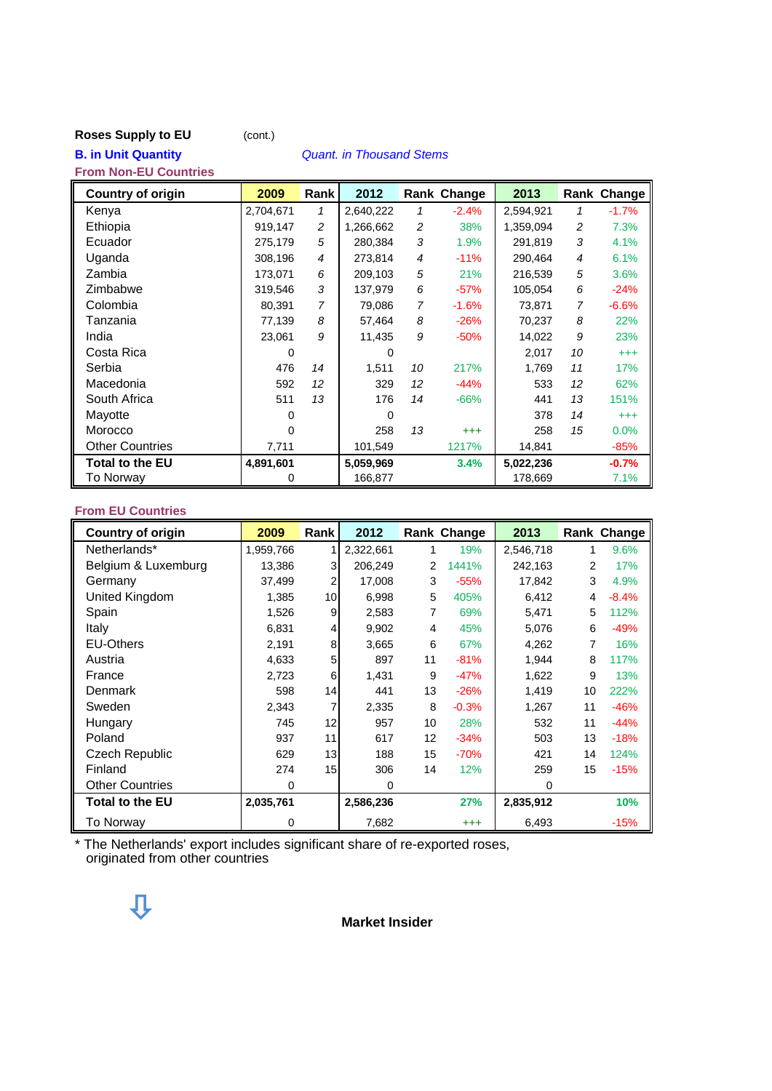#### **Roses Supply to EU** (cont.)

**B. in Unit Quantity** *Quant. in Thousand Stems*

# **From Non-EU Countries Country of origin 2009 Rank 2012 Rank Change 2013 Rank Change** Kenya 2,704,671 *1* 2,640,222 *1* -2.4% 2,594,921 *1* -1.7% Ethiopia 919,147 *2* 1,266,662 *2* 38% 1,359,094 *2* 7.3% Ecuador 275,179 *5* 280,384 *3* 1.9% 291,819 *3* 4.1% Uganda 308,196 *4* 273,814 *4* -11% 290,464 *4* 6.1% Zambia 173,071 *6* 209,103 *5* 21% 216,539 *5* 3.6% Zimbabwe 319,546 *3* 137,979 *6* -57% 105,054 *6* -24% Colombia 80,391 *7* 79,086 *7* -1.6% 73,871 *7* -6.6% Tanzania 77,139 *8* 57,464 *8* -26% 70,237 *8* 22% India 23,061 *9* 11,435 *9* -50% 14,022 *9* 23% Costa Rica 0 0 2,017 *10* +++ Serbia 476 *14* 1,511 *10* 217% 1,769 *11* 17% Macedonia 592 *12* 329 *12* -44% 533 *12* 62% South Africa 511 *13* 176 *14* -66% 441 *13* 151% Mayotte 0 0 378 *14* +++ Morocco 0 258 *13* +++ 258 *15* 0.0% Other Countries 25% 27,711 101,549 1217% 14,841 385% **Total to the EU 4,891,601 5,059,969 3.4% 5,022,236 -0.7% To Norway 0 166,877** 178,669 7.1%

#### **From EU Countries**

| <b>Country of origin</b> | 2009      | Rank         | 2012      |    | Rank Change | 2013      |    | Rank Change |
|--------------------------|-----------|--------------|-----------|----|-------------|-----------|----|-------------|
| Netherlands*             | 1,959,766 | 1            | 2,322,661 | 1  | 19%         | 2,546,718 | 1  | 9.6%        |
| Belgium & Luxemburg      | 13,386    | $\mathbf{3}$ | 206,249   | 2  | 1441%       | 242,163   | 2  | 17%         |
| Germany                  | 37,499    | 2            | 17,008    | 3  | $-55%$      | 17,842    | 3  | 4.9%        |
| United Kingdom           | 1,385     | 10           | 6,998     | 5  | 405%        | 6,412     | 4  | $-8.4%$     |
| Spain                    | 1,526     | 9            | 2,583     | 7  | 69%         | 5,471     | 5  | 112%        |
| Italy                    | 6,831     | 4            | 9,902     | 4  | 45%         | 5,076     | 6  | $-49%$      |
| <b>EU-Others</b>         | 2,191     | 8            | 3,665     | 6  | 67%         | 4,262     | 7  | 16%         |
| Austria                  | 4,633     | 5            | 897       | 11 | $-81%$      | 1,944     | 8  | 117%        |
| France                   | 2,723     | 6            | 1,431     | 9  | $-47%$      | 1,622     | 9  | 13%         |
| Denmark                  | 598       | 14           | 441       | 13 | $-26%$      | 1,419     | 10 | 222%        |
| Sweden                   | 2,343     | 7            | 2,335     | 8  | $-0.3%$     | 1,267     | 11 | $-46%$      |
| Hungary                  | 745       | 12           | 957       | 10 | 28%         | 532       | 11 | $-44%$      |
| Poland                   | 937       | 11           | 617       | 12 | $-34%$      | 503       | 13 | $-18%$      |
| <b>Czech Republic</b>    | 629       | 13           | 188       | 15 | $-70%$      | 421       | 14 | 124%        |
| Finland                  | 274       | 15           | 306       | 14 | 12%         | 259       | 15 | $-15%$      |
| <b>Other Countries</b>   | 0         |              | 0         |    |             | 0         |    |             |
| <b>Total to the EU</b>   | 2,035,761 |              | 2,586,236 |    | 27%         | 2,835,912 |    | 10%         |
| <b>To Norway</b>         | 0         |              | 7,682     |    | $^{+++}$    | 6,493     |    | $-15%$      |

\* The Netherlands' export includes significant share of re-exported roses, originated from other countries

**Market Insider**